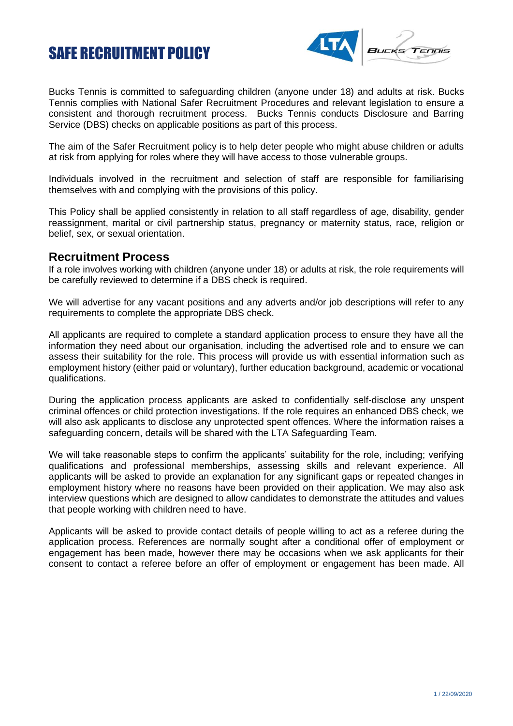## SAFE RECRUITMENT POLICY



Bucks Tennis is committed to safeguarding children (anyone under 18) and adults at risk. Bucks Tennis complies with National Safer Recruitment Procedures and relevant legislation to ensure a consistent and thorough recruitment process. Bucks Tennis conducts Disclosure and Barring Service (DBS) checks on applicable positions as part of this process.

The aim of the Safer Recruitment policy is to help deter people who might abuse children or adults at risk from applying for roles where they will have access to those vulnerable groups.

Individuals involved in the recruitment and selection of staff are responsible for familiarising themselves with and complying with the provisions of this policy.

This Policy shall be applied consistently in relation to all staff regardless of age, disability, gender reassignment, marital or civil partnership status, pregnancy or maternity status, race, religion or belief, sex, or sexual orientation.

## **Recruitment Process**

If a role involves working with children (anyone under 18) or adults at risk, the role requirements will be carefully reviewed to determine if a DBS check is required.

We will advertise for any vacant positions and any adverts and/or job descriptions will refer to any requirements to complete the appropriate DBS check.

All applicants are required to complete a standard application process to ensure they have all the information they need about our organisation, including the advertised role and to ensure we can assess their suitability for the role. This process will provide us with essential information such as employment history (either paid or voluntary), further education background, academic or vocational qualifications.

During the application process applicants are asked to confidentially self-disclose any unspent criminal offences or child protection investigations. If the role requires an enhanced DBS check, we will also ask applicants to disclose any unprotected spent offences. Where the information raises a safeguarding concern, details will be shared with the LTA Safeguarding Team.

We will take reasonable steps to confirm the applicants' suitability for the role, including; verifying qualifications and professional memberships, assessing skills and relevant experience. All applicants will be asked to provide an explanation for any significant gaps or repeated changes in employment history where no reasons have been provided on their application. We may also ask interview questions which are designed to allow candidates to demonstrate the attitudes and values that people working with children need to have.

Applicants will be asked to provide contact details of people willing to act as a referee during the application process. References are normally sought after a conditional offer of employment or engagement has been made, however there may be occasions when we ask applicants for their consent to contact a referee before an offer of employment or engagement has been made. All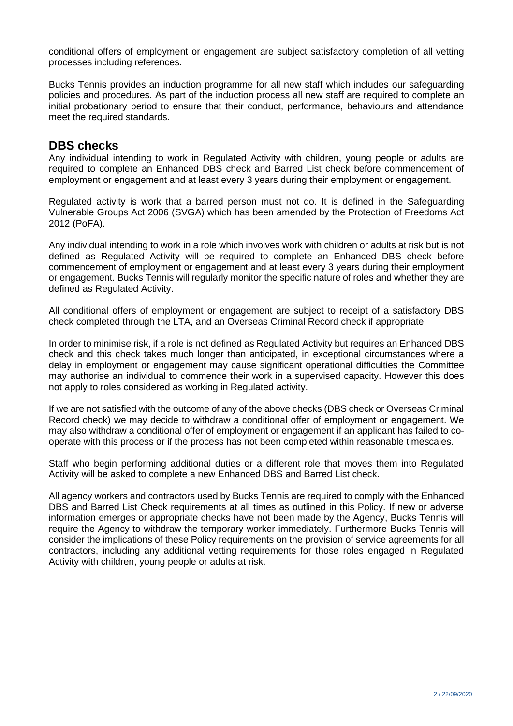conditional offers of employment or engagement are subject satisfactory completion of all vetting processes including references.

Bucks Tennis provides an induction programme for all new staff which includes our safeguarding policies and procedures. As part of the induction process all new staff are required to complete an initial probationary period to ensure that their conduct, performance, behaviours and attendance meet the required standards.

## **DBS checks**

Any individual intending to work in Regulated Activity with children, young people or adults are required to complete an Enhanced DBS check and Barred List check before commencement of employment or engagement and at least every 3 years during their employment or engagement.

Regulated activity is work that a barred person must not do. It is defined in the Safeguarding Vulnerable Groups Act 2006 (SVGA) which has been amended by the Protection of Freedoms Act 2012 (PoFA).

Any individual intending to work in a role which involves work with children or adults at risk but is not defined as Regulated Activity will be required to complete an Enhanced DBS check before commencement of employment or engagement and at least every 3 years during their employment or engagement. Bucks Tennis will regularly monitor the specific nature of roles and whether they are defined as Regulated Activity.

All conditional offers of employment or engagement are subject to receipt of a satisfactory DBS check completed through the LTA, and an Overseas Criminal Record check if appropriate.

In order to minimise risk, if a role is not defined as Regulated Activity but requires an Enhanced DBS check and this check takes much longer than anticipated, in exceptional circumstances where a delay in employment or engagement may cause significant operational difficulties the Committee may authorise an individual to commence their work in a supervised capacity. However this does not apply to roles considered as working in Regulated activity.

If we are not satisfied with the outcome of any of the above checks (DBS check or Overseas Criminal Record check) we may decide to withdraw a conditional offer of employment or engagement. We may also withdraw a conditional offer of employment or engagement if an applicant has failed to cooperate with this process or if the process has not been completed within reasonable timescales.

Staff who begin performing additional duties or a different role that moves them into Regulated Activity will be asked to complete a new Enhanced DBS and Barred List check.

All agency workers and contractors used by Bucks Tennis are required to comply with the Enhanced DBS and Barred List Check requirements at all times as outlined in this Policy. If new or adverse information emerges or appropriate checks have not been made by the Agency, Bucks Tennis will require the Agency to withdraw the temporary worker immediately. Furthermore Bucks Tennis will consider the implications of these Policy requirements on the provision of service agreements for all contractors, including any additional vetting requirements for those roles engaged in Regulated Activity with children, young people or adults at risk.